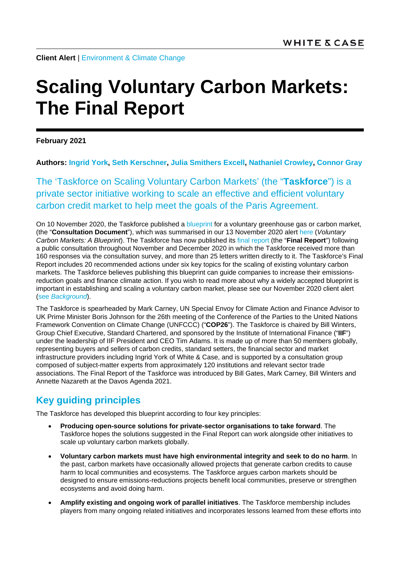**Client Alert** | [Environment & Climate Change](https://www.whitecase.com/law/practices/environment-climate-change)

# **Scaling Voluntary Carbon Markets: The Final Report**

**February 2021**

**Authors: [Ingrid York,](https://www.whitecase.com/people/ingrid-york) [Seth Kerschner,](https://www.whitecase.com/people/seth-kerschner) [Julia Smithers Excell,](https://www.whitecase.com/people/julia-smithers-excell) [Nathaniel Crowley,](https://www.whitecase.com/people/nathaniel-crowley) [Connor Gray](mailto:connor.gray@whitecase.com)**

The 'Taskforce on Scaling Voluntary Carbon Markets' (the "**Taskforce**") is a private sector initiative working to scale an effective and efficient voluntary carbon credit market to help meet the goals of the Paris Agreement.

On 10 November 2020, the Taskforce published a [blueprint](https://www.iif.com/tsvcm) for a voluntary greenhouse gas or carbon market. (the "**Consultation Document**"), which was summarised in our 13 November 2020 alert [here](https://www.whitecase.com/publications/alert/voluntary-carbon-markets-blueprint) (*Voluntary Carbon Markets: A Blueprint*). The Taskforce has now published its [final report](https://www.iif.com/Portals/1/Files/TSVCM_Report.pdf?_cldee=Y2ZAY2xpbWF0ZWhvbWVuZXdzLmNvbQ%3D%3D&recipientid=contact-0a171530e312eb1180ec000d3a0ee828-ebe91636ad3144ad9f3c07dc18a5cafb&utm_source=ClickDimensions&utm_medium=email&utm_campaign=Press%20Emails&esid=f64e8b28-c160-eb11-80f0-000d3a0dce1c) (the "**Final Report**") following a public consultation throughout November and December 2020 in which the Taskforce received more than 160 responses via the consultation survey, and more than 25 letters written directly to it. The Taskforce's Final Report includes 20 recommended actions under six key topics for the scaling of existing voluntary carbon markets. The Taskforce believes publishing this blueprint can guide companies to increase their emissionsreduction goals and finance climate action. If you wish to read more about why a widely accepted blueprint is important in establishing and scaling a voluntary carbon market, please see our November 2020 client alert [\(see](https://www.whitecase.com/publications/alert/voluntary-carbon-markets-blueprint) *[Background](https://www.whitecase.com/publications/alert/voluntary-carbon-markets-blueprint)*).

The Taskforce is spearheaded by Mark Carney, UN Special Envoy for Climate Action and Finance Advisor to UK Prime Minister Boris Johnson for the 26th meeting of the Conference of the Parties to the United Nations Framework Convention on Climate Change (UNFCCC) ("**COP26**"). The Taskforce is chaired by Bill Winters, Group Chief Executive, Standard Chartered, and sponsored by the Institute of International Finance ("**IIF**") under the leadership of IIF President and CEO Tim Adams. It is made up of more than 50 members globally, representing buyers and sellers of carbon credits, standard setters, the financial sector and market infrastructure providers including Ingrid York of White & Case, and is supported by a consultation group composed of subject-matter experts from approximately 120 institutions and relevant sector trade associations. The Final Report of the Taskforce was introduced by Bill Gates, Mark Carney, Bill Winters and Annette Nazareth at the Davos Agenda 2021.

# **Key guiding principles**

The Taskforce has developed this blueprint according to four key principles:

- **Producing open-source solutions for private-sector organisations to take forward**. The Taskforce hopes the solutions suggested in the Final Report can work alongside other initiatives to scale up voluntary carbon markets globally.
- **Voluntary carbon markets must have high environmental integrity and seek to do no harm**. In the past, carbon markets have occasionally allowed projects that generate carbon credits to cause harm to local communities and ecosystems. The Taskforce argues carbon markets should be designed to ensure emissions-reductions projects benefit local communities, preserve or strengthen ecosystems and avoid doing harm.
- **Amplify existing and ongoing work of parallel initiatives**. The Taskforce membership includes players from many ongoing related initiatives and incorporates lessons learned from these efforts into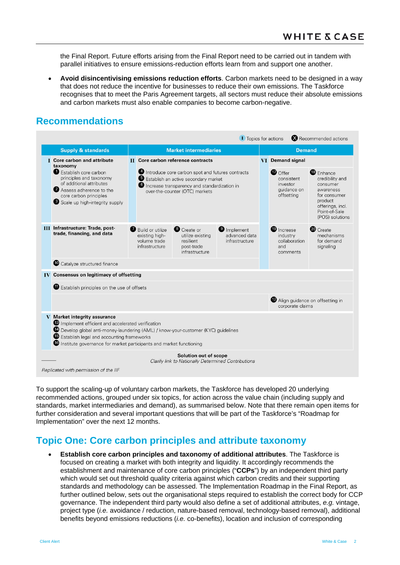the Final Report. Future efforts arising from the Final Report need to be carried out in tandem with parallel initiatives to ensure emissions-reduction efforts learn from and support one another.

• **Avoid disincentivising emissions reduction efforts**. Carbon markets need to be designed in a way that does not reduce the incentive for businesses to reduce their own emissions. The Taskforce recognises that to meet the Paris Agreement targets, all sectors must reduce their absolute emissions and carbon markets must also enable companies to become carbon-negative.

## **Recommendations**

|                                                                                                                                                                                                                                                                                                                         |                                                                                                                                                                                                                         |  |                                                                                                                                                                                                                                  |                                                                                     | <b>I</b> Topics for actions                           |               |                                                                                            | Recommended actions                                                                                         |  |
|-------------------------------------------------------------------------------------------------------------------------------------------------------------------------------------------------------------------------------------------------------------------------------------------------------------------------|-------------------------------------------------------------------------------------------------------------------------------------------------------------------------------------------------------------------------|--|----------------------------------------------------------------------------------------------------------------------------------------------------------------------------------------------------------------------------------|-------------------------------------------------------------------------------------|-------------------------------------------------------|---------------|--------------------------------------------------------------------------------------------|-------------------------------------------------------------------------------------------------------------|--|
|                                                                                                                                                                                                                                                                                                                         | <b>Supply &amp; standards</b>                                                                                                                                                                                           |  |                                                                                                                                                                                                                                  | <b>Market intermediaries</b>                                                        |                                                       | <b>Demand</b> |                                                                                            |                                                                                                             |  |
|                                                                                                                                                                                                                                                                                                                         | <b>I</b> Core carbon and attribute<br>taxonomy<br>Establish core carbon<br>principles and taxonomy<br>of additional attributes<br>2 Assess adherence to the<br>core carbon principles<br>Scale up high-integrity supply |  | <b>II</b> Core carbon reference contracts<br>Introduce core carbon spot and futures contracts<br><b>B</b> Establish an active secondary market<br>Increase transparency and standardization in<br>over-the-counter (OTC) markets |                                                                                     |                                                       |               | VI Demand signal<br>$\bullet$ Offer<br>consistent<br>investor<br>guidance on<br>offsetting | <b>B</b> Enhance<br>credibility and<br>consumer<br>awareness<br>for consumer<br>product<br>offerings, incl. |  |
|                                                                                                                                                                                                                                                                                                                         | <b>III</b> Infrastructure: Trade, post-<br>trade, financing, and data                                                                                                                                                   |  | <b>Build or utilize</b><br>existing high-<br>volume trade<br>infrastructure                                                                                                                                                      | Create or<br>utilize existing<br>resilient<br>post-trade<br>infrastructure          | <b>O</b> Implement<br>advanced data<br>infrastructure |               | <sup>1</sup> Increase<br>industry<br>collaboration<br>and<br>comments                      | Point-of-Sale<br>(POS) solutions<br><sup>20</sup> Create<br>mechanisms<br>for demand<br>signaling           |  |
|                                                                                                                                                                                                                                                                                                                         | Catalyze structured finance                                                                                                                                                                                             |  |                                                                                                                                                                                                                                  |                                                                                     |                                                       |               |                                                                                            |                                                                                                             |  |
|                                                                                                                                                                                                                                                                                                                         | <b>IV</b> Consensus on legitimacy of offsetting<br><b>Establish principles on the use of offsets</b>                                                                                                                    |  |                                                                                                                                                                                                                                  |                                                                                     |                                                       |               | Align guidance on offsetting in<br>corporate claims                                        |                                                                                                             |  |
| V Market integrity assurance<br>Implement efficient and accelerated verification<br><sup>4</sup> Develop global anti-money-laundering (AML) / know-your-customer (KYC) guidelines<br><b>B</b> Establish legal and accounting frameworks<br><b>C</b> Institute governance for market participants and market functioning |                                                                                                                                                                                                                         |  |                                                                                                                                                                                                                                  |                                                                                     |                                                       |               |                                                                                            |                                                                                                             |  |
|                                                                                                                                                                                                                                                                                                                         | Replicated with permission of the IIF                                                                                                                                                                                   |  |                                                                                                                                                                                                                                  | <b>Solution out of scope</b><br>Clarify link to Nationally Determined Contributions |                                                       |               |                                                                                            |                                                                                                             |  |

To support the scaling-up of voluntary carbon markets, the Taskforce has developed 20 underlying recommended actions, grouped under six topics, for action across the value chain (including supply and standards, market intermediaries and demand), as summarised below. Note that there remain open items for further consideration and several important questions that will be part of the Taskforce's "Roadmap for Implementation" over the next 12 months.

## **Topic One: Core carbon principles and attribute taxonomy**

• **Establish core carbon principles and taxonomy of additional attributes**. The Taskforce is focused on creating a market with both integrity and liquidity. It accordingly recommends the establishment and maintenance of core carbon principles ("**CCPs**") by an independent third party which would set out threshold quality criteria against which carbon credits and their supporting standards and methodology can be assessed. The Implementation Roadmap in the Final Report, as further outlined below, sets out the organisational steps required to establish the correct body for CCP governance. The independent third party would also define a set of additional attributes, *e.g.* vintage, project type (*i.e.* avoidance / reduction, nature-based removal, technology-based removal), additional benefits beyond emissions reductions (*i.e.* co-benefits), location and inclusion of corresponding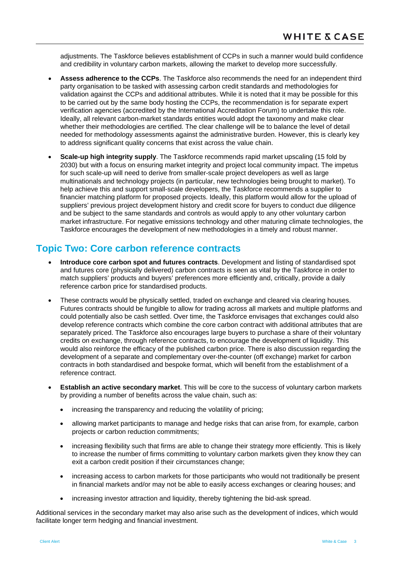adjustments. The Taskforce believes establishment of CCPs in such a manner would build confidence and credibility in voluntary carbon markets, allowing the market to develop more successfully.

- **Assess adherence to the CCPs**. The Taskforce also recommends the need for an independent third party organisation to be tasked with assessing carbon credit standards and methodologies for validation against the CCPs and additional attributes. While it is noted that it may be possible for this to be carried out by the same body hosting the CCPs, the recommendation is for separate expert verification agencies (accredited by the International Accreditation Forum) to undertake this role. Ideally, all relevant carbon-market standards entities would adopt the taxonomy and make clear whether their methodologies are certified. The clear challenge will be to balance the level of detail needed for methodology assessments against the administrative burden. However, this is clearly key to address significant quality concerns that exist across the value chain.
- **Scale-up high integrity supply**. The Taskforce recommends rapid market upscaling (15 fold by 2030) but with a focus on ensuring market integrity and project local community impact. The impetus for such scale-up will need to derive from smaller-scale project developers as well as large multinationals and technology projects (in particular, new technologies being brought to market). To help achieve this and support small-scale developers, the Taskforce recommends a supplier to financier matching platform for proposed projects. Ideally, this platform would allow for the upload of suppliers' previous project development history and credit score for buyers to conduct due diligence and be subject to the same standards and controls as would apply to any other voluntary carbon market infrastructure. For negative emissions technology and other maturing climate technologies, the Taskforce encourages the development of new methodologies in a timely and robust manner.

#### **Topic Two: Core carbon reference contracts**

- **Introduce core carbon spot and futures contracts**. Development and listing of standardised spot and futures core (physically delivered) carbon contracts is seen as vital by the Taskforce in order to match suppliers' products and buyers' preferences more efficiently and, critically, provide a daily reference carbon price for standardised products.
- These contracts would be physically settled, traded on exchange and cleared via clearing houses. Futures contracts should be fungible to allow for trading across all markets and multiple platforms and could potentially also be cash settled. Over time, the Taskforce envisages that exchanges could also develop reference contracts which combine the core carbon contract with additional attributes that are separately priced. The Taskforce also encourages large buyers to purchase a share of their voluntary credits on exchange, through reference contracts, to encourage the development of liquidity. This would also reinforce the efficacy of the published carbon price. There is also discussion regarding the development of a separate and complementary over-the-counter (off exchange) market for carbon contracts in both standardised and bespoke format, which will benefit from the establishment of a reference contract.
- **Establish an active secondary market**. This will be core to the success of voluntary carbon markets by providing a number of benefits across the value chain, such as:
	- increasing the transparency and reducing the volatility of pricing:
	- allowing market participants to manage and hedge risks that can arise from, for example, carbon projects or carbon reduction commitments;
	- increasing flexibility such that firms are able to change their strategy more efficiently. This is likely to increase the number of firms committing to voluntary carbon markets given they know they can exit a carbon credit position if their circumstances change;
	- increasing access to carbon markets for those participants who would not traditionally be present in financial markets and/or may not be able to easily access exchanges or clearing houses; and
	- increasing investor attraction and liquidity, thereby tightening the bid-ask spread.

Additional services in the secondary market may also arise such as the development of indices, which would facilitate longer term hedging and financial investment.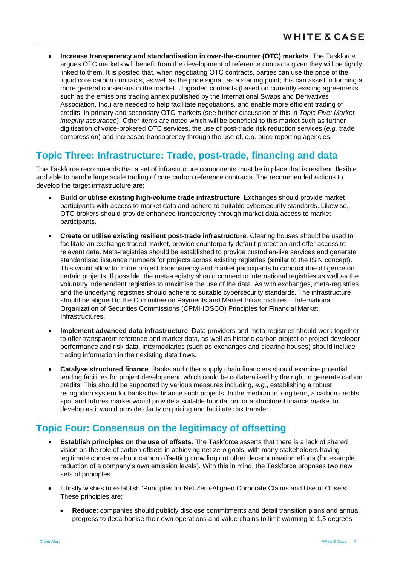• **Increase transparency and standardisation in over-the-counter (OTC) markets**. The Taskforce argues OTC markets will benefit from the development of reference contracts given they will be tightly linked to them. It is posited that, when negotiating OTC contracts, parties can use the price of the liquid core carbon contracts, as well as the price signal, as a starting point; this can assist in forming a more general consensus in the market. Upgraded contracts (based on currently existing agreements such as the emissions trading annex published by the International Swaps and Derivatives Association, Inc.) are needed to help facilitate negotiations, and enable more efficient trading of credits, in primary and secondary OTC markets (see further discussion of this in *Topic Five: Market integrity assurance*). Other items are noted which will be beneficial to this market such as further digitisation of voice-brokered OTC services, the use of post-trade risk reduction services (*e.g.* trade compression) and increased transparency through the use of, *e.g.* price reporting agencies.

# **Topic Three: Infrastructure: Trade, post-trade, financing and data**

The Taskforce recommends that a set of infrastructure components must be in place that is resilient, flexible and able to handle large scale trading of core carbon reference contracts. The recommended actions to develop the target infrastructure are:

- **Build or utilise existing high-volume trade infrastructure**. Exchanges should provide market participants with access to market data and adhere to suitable cybersecurity standards. Likewise, OTC brokers should provide enhanced transparency through market data access to market participants.
- **Create or utilise existing resilient post-trade infrastructure**. Clearing houses should be used to facilitate an exchange traded market, provide counterparty default protection and offer access to relevant data. Meta-registries should be established to provide custodian-like services and generate standardised issuance numbers for projects across existing registries (similar to the ISIN concept). This would allow for more project transparency and market participants to conduct due diligence on certain projects. If possible, the meta-registry should connect to international registries as well as the voluntary independent registries to maximise the use of the data. As with exchanges, meta-registries and the underlying registries should adhere to suitable cybersecurity standards. The infrastructure should be aligned to the Committee on Payments and Market Infrastructures – International Organization of Securities Commissions (CPMI-IOSCO) Principles for Financial Market Infrastructures.
- **Implement advanced data infrastructure**. Data providers and meta-registries should work together to offer transparent reference and market data, as well as historic carbon project or project developer performance and risk data. Intermediaries (such as exchanges and clearing houses) should include trading information in their existing data flows.
- **Catalyse structured finance**. Banks and other supply chain financiers should examine potential lending facilities for project development, which could be collateralised by the right to generate carbon credits. This should be supported by various measures including, *e.g.*, establishing a robust recognition system for banks that finance such projects. In the medium to long term, a carbon credits spot and futures market would provide a suitable foundation for a structured finance market to develop as it would provide clarity on pricing and facilitate risk transfer.

# **Topic Four: Consensus on the legitimacy of offsetting**

- **Establish principles on the use of offsets**. The Taskforce asserts that there is a lack of shared vision on the role of carbon offsets in achieving net zero goals, with many stakeholders having legitimate concerns about carbon offsetting crowding out other decarbonisation efforts (for example, reduction of a company's own emission levels). With this in mind, the Taskforce proposes two new sets of principles.
- It firstly wishes to establish 'Principles for Net Zero-Aligned Corporate Claims and Use of Offsets'. These principles are:
	- **Reduce**: companies should publicly disclose commitments and detail transition plans and annual progress to decarbonise their own operations and value chains to limit warming to 1.5 degrees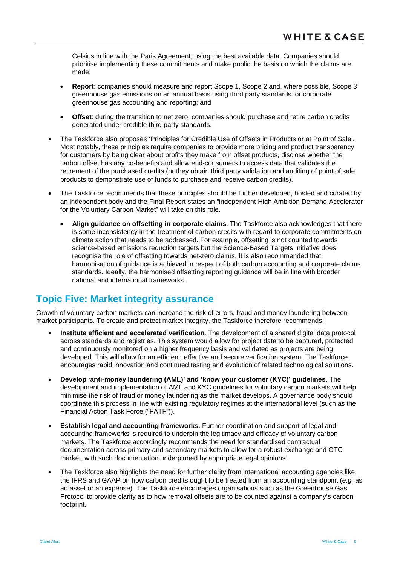Celsius in line with the Paris Agreement, using the best available data. Companies should prioritise implementing these commitments and make public the basis on which the claims are made;

- **Report:** companies should measure and report Scope 1, Scope 2 and, where possible, Scope 3 greenhouse gas emissions on an annual basis using third party standards for corporate greenhouse gas accounting and reporting; and
- **Offset**: during the transition to net zero, companies should purchase and retire carbon credits generated under credible third party standards.
- The Taskforce also proposes 'Principles for Credible Use of Offsets in Products or at Point of Sale'. Most notably, these principles require companies to provide more pricing and product transparency for customers by being clear about profits they make from offset products, disclose whether the carbon offset has any co-benefits and allow end-consumers to access data that validates the retirement of the purchased credits (or they obtain third party validation and auditing of point of sale products to demonstrate use of funds to purchase and receive carbon credits).
- The Taskforce recommends that these principles should be further developed, hosted and curated by an independent body and the Final Report states an "independent High Ambition Demand Accelerator for the Voluntary Carbon Market" will take on this role.
	- **Align guidance on offsetting in corporate claims**. The Taskforce also acknowledges that there is some inconsistency in the treatment of carbon credits with regard to corporate commitments on climate action that needs to be addressed. For example, offsetting is not counted towards science-based emissions reduction targets but the Science-Based Targets Initiative does recognise the role of offsetting towards net-zero claims. It is also recommended that harmonisation of guidance is achieved in respect of both carbon accounting and corporate claims standards. Ideally, the harmonised offsetting reporting guidance will be in line with broader national and international frameworks.

## **Topic Five: Market integrity assurance**

Growth of voluntary carbon markets can increase the risk of errors, fraud and money laundering between market participants. To create and protect market integrity, the Taskforce therefore recommends:

- **Institute efficient and accelerated verification**. The development of a shared digital data protocol across standards and registries. This system would allow for project data to be captured, protected and continuously monitored on a higher frequency basis and validated as projects are being developed. This will allow for an efficient, effective and secure verification system. The Taskforce encourages rapid innovation and continued testing and evolution of related technological solutions.
- **Develop 'anti-money laundering (AML)' and 'know your customer (KYC)' guidelines**. The development and implementation of AML and KYC guidelines for voluntary carbon markets will help minimise the risk of fraud or money laundering as the market develops. A governance body should coordinate this process in line with existing regulatory regimes at the international level (such as the Financial Action Task Force ("FATF")).
- **Establish legal and accounting frameworks**. Further coordination and support of legal and accounting frameworks is required to underpin the legitimacy and efficacy of voluntary carbon markets. The Taskforce accordingly recommends the need for standardised contractual documentation across primary and secondary markets to allow for a robust exchange and OTC market, with such documentation underpinned by appropriate legal opinions.
- The Taskforce also highlights the need for further clarity from international accounting agencies like the IFRS and GAAP on how carbon credits ought to be treated from an accounting standpoint (*e.g.* as an asset or an expense). The Taskforce encourages organisations such as the Greenhouse Gas Protocol to provide clarity as to how removal offsets are to be counted against a company's carbon footprint.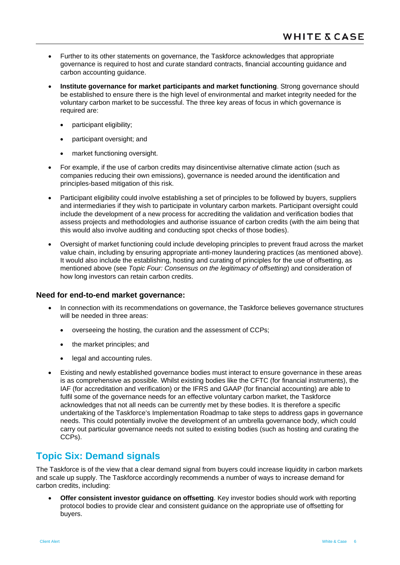- Further to its other statements on governance, the Taskforce acknowledges that appropriate governance is required to host and curate standard contracts, financial accounting guidance and carbon accounting guidance.
- **Institute governance for market participants and market functioning**. Strong governance should be established to ensure there is the high level of environmental and market integrity needed for the voluntary carbon market to be successful. The three key areas of focus in which governance is required are:
	- participant eligibility;
	- participant oversight; and
	- market functioning oversight.
- For example, if the use of carbon credits may disincentivise alternative climate action (such as companies reducing their own emissions), governance is needed around the identification and principles-based mitigation of this risk.
- Participant eligibility could involve establishing a set of principles to be followed by buyers, suppliers and intermediaries if they wish to participate in voluntary carbon markets. Participant oversight could include the development of a new process for accrediting the validation and verification bodies that assess projects and methodologies and authorise issuance of carbon credits (with the aim being that this would also involve auditing and conducting spot checks of those bodies).
- Oversight of market functioning could include developing principles to prevent fraud across the market value chain, including by ensuring appropriate anti-money laundering practices (as mentioned above). It would also include the establishing, hosting and curating of principles for the use of offsetting, as mentioned above (see *Topic Four: Consensus on the legitimacy of offsetting*) and consideration of how long investors can retain carbon credits.

#### **Need for end-to-end market governance:**

- In connection with its recommendations on governance, the Taskforce believes governance structures will be needed in three areas:
	- overseeing the hosting, the curation and the assessment of CCPs;
	- the market principles; and
	- legal and accounting rules.
- Existing and newly established governance bodies must interact to ensure governance in these areas is as comprehensive as possible. Whilst existing bodies like the CFTC (for financial instruments), the IAF (for accreditation and verification) or the IFRS and GAAP (for financial accounting) are able to fulfil some of the governance needs for an effective voluntary carbon market, the Taskforce acknowledges that not all needs can be currently met by these bodies. It is therefore a specific undertaking of the Taskforce's Implementation Roadmap to take steps to address gaps in governance needs. This could potentially involve the development of an umbrella governance body, which could carry out particular governance needs not suited to existing bodies (such as hosting and curating the CCPs).

## **Topic Six: Demand signals**

The Taskforce is of the view that a clear demand signal from buyers could increase liquidity in carbon markets and scale up supply. The Taskforce accordingly recommends a number of ways to increase demand for carbon credits, including:

• **Offer consistent investor guidance on offsetting**. Key investor bodies should work with reporting protocol bodies to provide clear and consistent guidance on the appropriate use of offsetting for buyers.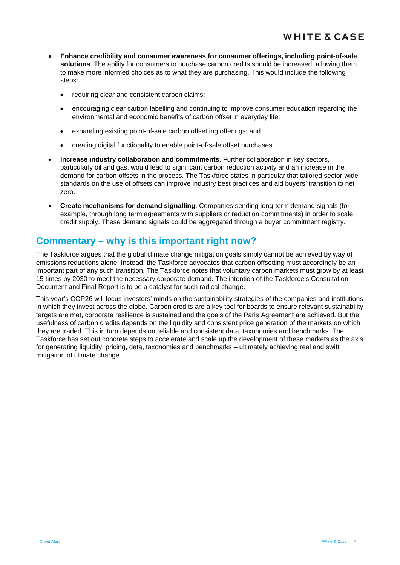- **Enhance credibility and consumer awareness for consumer offerings, including point-of-sale solutions**. The ability for consumers to purchase carbon credits should be increased, allowing them to make more informed choices as to what they are purchasing. This would include the following steps:
	- requiring clear and consistent carbon claims;
	- encouraging clear carbon labelling and continuing to improve consumer education regarding the environmental and economic benefits of carbon offset in everyday life;
	- expanding existing point-of-sale carbon offsetting offerings; and
	- creating digital functionality to enable point-of-sale offset purchases.
- **Increase industry collaboration and commitments**. Further collaboration in key sectors, particularly oil and gas, would lead to significant carbon reduction activity and an increase in the demand for carbon offsets in the process. The Taskforce states in particular that tailored sector-wide standards on the use of offsets can improve industry best practices and aid buyers' transition to net zero.
- **Create mechanisms for demand signalling**. Companies sending long-term demand signals (for example, through long term agreements with suppliers or reduction commitments) in order to scale credit supply. These demand signals could be aggregated through a buyer commitment registry.

# **Commentary – why is this important right now?**

The Taskforce argues that the global climate change mitigation goals simply cannot be achieved by way of emissions reductions alone. Instead, the Taskforce advocates that carbon offsetting must accordingly be an important part of any such transition. The Taskforce notes that voluntary carbon markets must grow by at least 15 times by 2030 to meet the necessary corporate demand. The intention of the Taskforce's Consultation Document and Final Report is to be a catalyst for such radical change.

This year's COP26 will focus investors' minds on the sustainability strategies of the companies and institutions in which they invest across the globe. Carbon credits are a key tool for boards to ensure relevant sustainability targets are met, corporate resilience is sustained and the goals of the Paris Agreement are achieved. But the usefulness of carbon credits depends on the liquidity and consistent price generation of the markets on which they are traded. This in turn depends on reliable and consistent data, taxonomies and benchmarks. The Taskforce has set out concrete steps to accelerate and scale up the development of these markets as the axis for generating liquidity, pricing, data, taxonomies and benchmarks – ultimately achieving real and swift mitigation of climate change.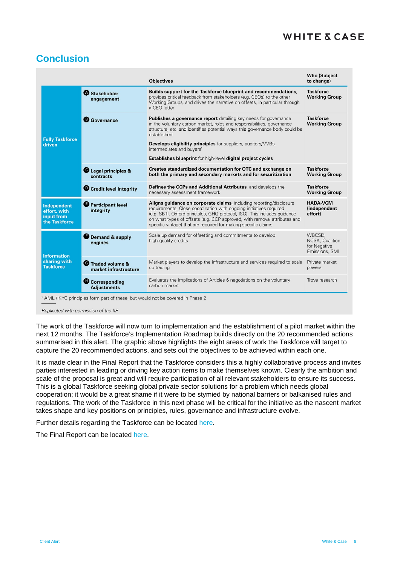# **Conclusion**

|                                                                   |                                                   | <b>Objectives</b>                                                                                                                                                                                                                                                                                                                                                    | <b>Who (Subject</b><br>to change)                           |
|-------------------------------------------------------------------|---------------------------------------------------|----------------------------------------------------------------------------------------------------------------------------------------------------------------------------------------------------------------------------------------------------------------------------------------------------------------------------------------------------------------------|-------------------------------------------------------------|
|                                                                   | Stakeholder<br>engagement                         | Builds support for the Taskforce blueprint and recommendations,<br>provides critical feedback from stakeholders (e.g. CEOs) to the other<br>Working Groups, and drives the narrative on offsets, in particular through<br>a CFO letter                                                                                                                               | <b>Taskforce</b><br><b>Working Group</b>                    |
|                                                                   | <b>B</b> Governance                               | <b>Publishes a governance report</b> detailing key needs for governance<br>in the voluntary carbon market, roles and responsibilities, governance<br>structure, etc. and identifies potential ways this governance body could be<br>established                                                                                                                      | <b>Taskforce</b><br><b>Working Group</b>                    |
| <b>Fully Taskforce</b><br>driven                                  |                                                   | <b>Develops eligibility principles</b> for suppliers, auditors/VVBs,<br>intermediates and buyers <sup>1</sup>                                                                                                                                                                                                                                                        |                                                             |
|                                                                   |                                                   | <b>Establishes blueprint</b> for high-level <b>digital project cycles</b>                                                                                                                                                                                                                                                                                            |                                                             |
|                                                                   | Legal principles &<br>contracts                   | Creates standardized documentation for OTC and exchange on<br>both the primary and secondary markets and for securitization                                                                                                                                                                                                                                          | <b>Taskforce</b><br><b>Working Group</b>                    |
|                                                                   | <b>O</b> Credit level integrity                   | Defines the CCPs and Additional Attributes, and develops the<br>necessary assessment framework                                                                                                                                                                                                                                                                       | <b>Taskforce</b><br><b>Working Group</b>                    |
| <b>Independent</b><br>effort, with<br>input from<br>the Taskforce | <b>O</b> Participant level<br>integrity           | Aligns guidance on corporate claims, including reporting/disclosure<br>requirements. Close coordination with ongoing initiatives required<br>(e.g. SBTI, Oxford principles, GHG protocol, ISO). This includes guidance<br>on what types of offsets (e.g. CCP approved, with removal attributes and<br>specific vintage) that are required for making specific claims | <b>HADA-VCM</b><br><i>(independent</i><br>effort)           |
| <b>Information</b>                                                | Demand & supply<br>engines                        | Scale up demand for offsetting and commitments to develop<br>high-quality credits                                                                                                                                                                                                                                                                                    | WBCSD.<br>NCSA, Coalition<br>for Negative<br>Emissions, SMI |
| sharing with<br><b>Taskforce</b>                                  | <b>C</b> Traded volume &<br>market infrastructure | Market players to develop the infrastructure and services required to scale<br>up trading                                                                                                                                                                                                                                                                            | Private market<br>players                                   |
|                                                                   | Corresponding<br><b>Adjustments</b>               | Evaluates the implications of Articles 6 negotiations on the voluntary<br>carbon market                                                                                                                                                                                                                                                                              | Trove research                                              |

AML / KYC principles form part of these, but would not be covered in Phase 2

Replicated with permission of the IIF

The work of the Taskforce will now turn to implementation and the establishment of a pilot market within the next 12 months. The Taskforce's Implementation Roadmap builds directly on the 20 recommended actions summarised in this alert. The graphic above highlights the eight areas of work the Taskforce will target to capture the 20 recommended actions, and sets out the objectives to be achieved within each one.

It is made clear in the Final Report that the Taskforce considers this a highly collaborative process and invites parties interested in leading or driving key action items to make themselves known. Clearly the ambition and scale of the proposal is great and will require participation of all relevant stakeholders to ensure its success. This is a global Taskforce seeking global private sector solutions for a problem which needs global cooperation; it would be a great shame if it were to be stymied by national barriers or balkanised rules and regulations. The work of the Taskforce in this next phase will be critical for the initiative as the nascent market takes shape and key positions on principles, rules, governance and infrastructure evolve.

Further details regarding the Taskforce can be located [here.](https://www.iif.com/tsvcm/Main-Page/Publications/ID/4061/Private-Sector-Voluntary-Carbon-Markets-Taskforce-Established-to-Help-Meet-Climate-Goals)

The Final Report can be located [here.](https://www.iif.com/Portals/1/Files/TSVCM_Report.pdf?_cldee=Y2ZAY2xpbWF0ZWhvbWVuZXdzLmNvbQ%3D%3D&recipientid=contact-0a171530e312eb1180ec000d3a0ee828-ebe91636ad3144ad9f3c07dc18a5cafb&utm_source=ClickDimensions&utm_medium=email&utm_campaign=Press%20Emails&esid=f64e8b28-c160-eb11-80f0-000d3a0dce1c)